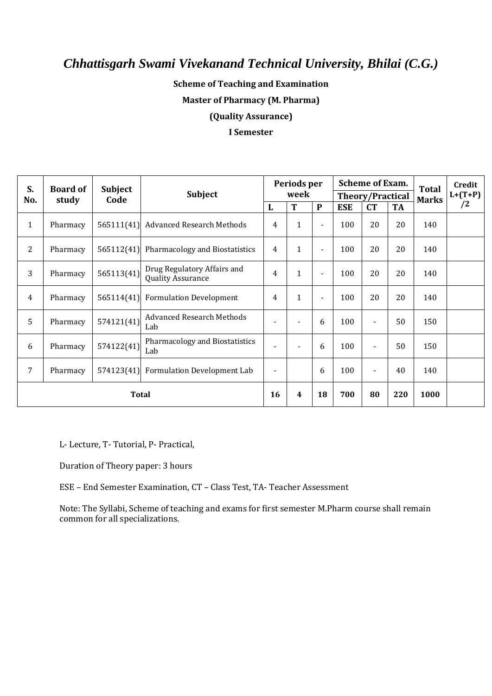### **Scheme of Teaching and Examination**

**Master of Pharmacy (M. Pharma)**

**(Quality Assurance)**

#### **I Semester**

| S.             | <b>Board of</b><br>study | <b>Subject</b><br>Code | Subject                                                 | Periods per<br>week      |                |                |                         | <b>Scheme of Exam.</b> | <b>Total</b> | Credit       |           |
|----------------|--------------------------|------------------------|---------------------------------------------------------|--------------------------|----------------|----------------|-------------------------|------------------------|--------------|--------------|-----------|
| No.            |                          |                        |                                                         |                          |                |                | <b>Theory/Practical</b> |                        |              | <b>Marks</b> | $L+(T+P)$ |
|                |                          |                        |                                                         | L                        | T              | $\mathbf{P}$   | <b>ESE</b>              | CT                     | <b>TA</b>    |              | /2        |
| $\mathbf{1}$   | Pharmacy                 | 565111(41)             | <b>Advanced Research Methods</b>                        | $\overline{4}$           | $\mathbf{1}$   | $\blacksquare$ | 100                     | 20                     | 20           | 140          |           |
| $\overline{2}$ | Pharmacy                 |                        | 565112(41) Pharmacology and Biostatistics               | $\overline{4}$           | $\mathbf{1}$   | $\blacksquare$ | 100                     | 20                     | 20           | 140          |           |
| 3              | Pharmacy                 | 565113(41)             | Drug Regulatory Affairs and<br><b>Quality Assurance</b> | $\overline{4}$           | $\mathbf{1}$   |                | 100                     | 20                     | 20           | 140          |           |
| 4              | Pharmacy                 |                        | 565114(41) Formulation Development                      | $\overline{4}$           | $\mathbf{1}$   | $\blacksquare$ | 100                     | 20                     | 20           | 140          |           |
| 5              | Pharmacy                 | 574121(41)             | <b>Advanced Research Methods</b><br>Lab                 | $\overline{\phantom{a}}$ | $\blacksquare$ | 6              | 100                     | $\blacksquare$         | 50           | 150          |           |
| 6              | Pharmacy                 | 574122(41)             | Pharmacology and Biostatistics<br>Lab                   | $\overline{\phantom{a}}$ |                | 6              | 100                     |                        | 50           | 150          |           |
| 7              | Pharmacy                 |                        | 574123(41) Formulation Development Lab                  | $\blacksquare$           |                | 6              | 100                     |                        | 40           | 140          |           |
| <b>Total</b>   |                          |                        | 16                                                      | 4                        | 18             | 700            | 80                      | 220                    | 1000         |              |           |

L- Lecture, T- Tutorial, P- Practical,

Duration of Theory paper: 3 hours

ESE – End Semester Examination, CT – Class Test, TA- Teacher Assessment

Note: The Syllabi, Scheme of teaching and exams for first semester M.Pharm course shall remain common for all specializations.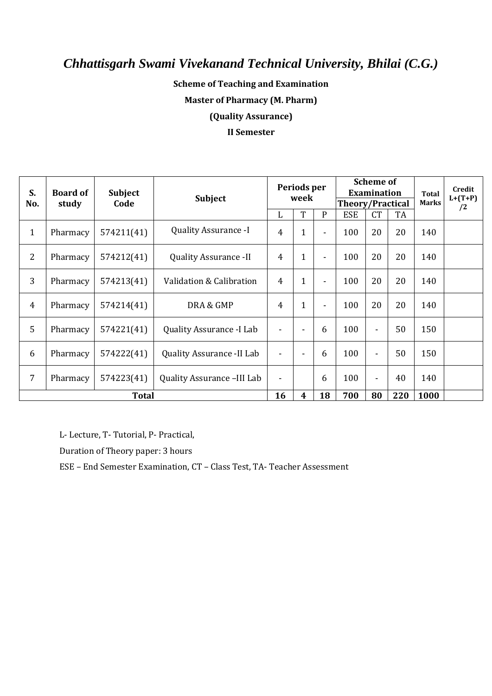### **Scheme of Teaching and Examination**

**Master of Pharmacy (M. Pharm)**

**(Quality Assurance)**

#### **II Semester**

| S.<br>No.      | <b>Board of</b><br>study | <b>Subject</b><br>Code | <b>Subject</b>                   |                | Periods per<br>week |                |            | <b>Scheme of</b><br><b>Examination</b><br><b>Theory/Practical</b> |     |      | Credit<br>$L+(T+P)$<br><b>Marks</b><br>/2 |
|----------------|--------------------------|------------------------|----------------------------------|----------------|---------------------|----------------|------------|-------------------------------------------------------------------|-----|------|-------------------------------------------|
|                |                          |                        |                                  | L              | T                   | P              | <b>ESE</b> | <b>CT</b>                                                         | TA  |      |                                           |
| $\mathbf{1}$   | Pharmacy                 | 574211(41)             | <b>Quality Assurance -I</b>      | 4              | $\mathbf 1$         | $\blacksquare$ | 100        | 20                                                                | 20  | 140  |                                           |
| $\overline{2}$ | Pharmacy                 | 574212(41)             | <b>Quality Assurance -II</b>     | 4              | $\mathbf 1$         | $\blacksquare$ | 100        | 20                                                                | 20  | 140  |                                           |
| 3              | Pharmacy                 | 574213(41)             | Validation & Calibration         | $\overline{4}$ | $\mathbf{1}$        | $\blacksquare$ | 100        | 20                                                                | 20  | 140  |                                           |
| $\overline{4}$ | Pharmacy                 | 574214(41)             | DRA & GMP                        | 4              | 1                   | ۰              | 100        | 20                                                                | 20  | 140  |                                           |
| 5              | Pharmacy                 | 574221(41)             | Quality Assurance -I Lab         | $\blacksquare$ |                     | 6              | 100        | $\blacksquare$                                                    | 50  | 150  |                                           |
| 6              | Pharmacy                 | 574222(41)             | <b>Quality Assurance -II Lab</b> | $\blacksquare$ |                     | 6              | 100        | $\blacksquare$                                                    | 50  | 150  |                                           |
| 7              | Pharmacy                 | 574223(41)             | Quality Assurance -III Lab       | $\blacksquare$ |                     | 6              | 100        | $\blacksquare$                                                    | 40  | 140  |                                           |
| <b>Total</b>   |                          |                        |                                  | 16             | 4                   | 18             | 700        | 80                                                                | 220 | 1000 |                                           |

L- Lecture, T- Tutorial, P- Practical,

Duration of Theory paper: 3 hours

ESE – End Semester Examination, CT – Class Test, TA- Teacher Assessment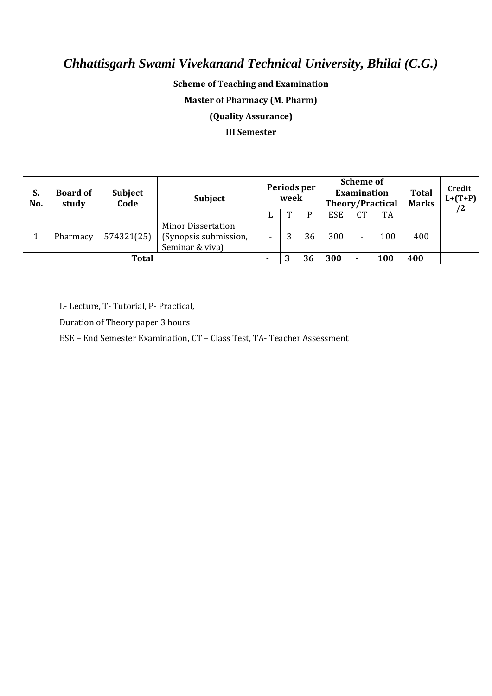### **Scheme of Teaching and Examination**

**Master of Pharmacy (M. Pharm)**

**(Quality Assurance)**

#### **III Semester**

| S.<br>No.    | <b>Board of</b><br>study | <b>Subject</b><br>Code | <b>Subject</b>                                                        | Periods per<br>week |   | <b>Scheme of</b><br><b>Examination</b><br><b>Theory/Practical</b> |            |           | <b>Total</b><br><b>Marks</b> | Credit<br>$L+(T+P)$<br>/2 |  |
|--------------|--------------------------|------------------------|-----------------------------------------------------------------------|---------------------|---|-------------------------------------------------------------------|------------|-----------|------------------------------|---------------------------|--|
|              |                          |                        |                                                                       | ப                   | m |                                                                   | <b>ESE</b> | <b>CT</b> | TA                           |                           |  |
|              | Pharmacy                 | 574321(25)             | <b>Minor Dissertation</b><br>(Synopsis submission,<br>Seminar & viva) |                     |   | 36                                                                | 300        |           | 100                          | 400                       |  |
| <b>Total</b> |                          |                        |                                                                       |                     | 3 | 36                                                                | 300        |           | 100                          | 400                       |  |

L- Lecture, T- Tutorial, P- Practical,

Duration of Theory paper 3 hours

ESE – End Semester Examination, CT – Class Test, TA- Teacher Assessment